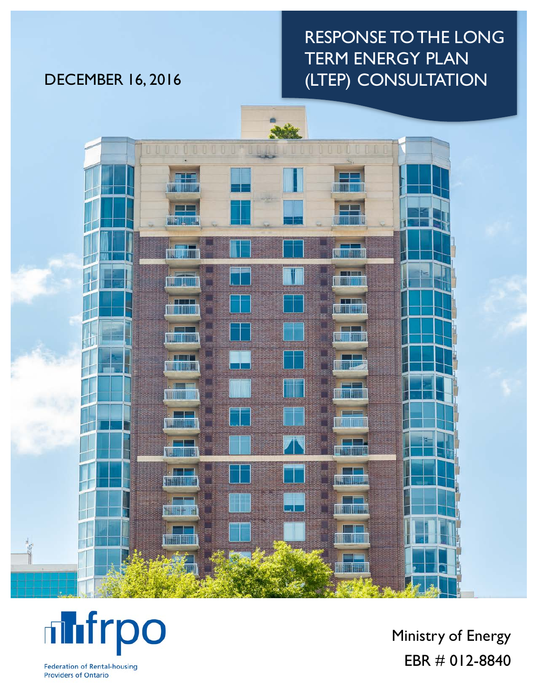RESPONSE TO THE LONG TERM ENERGY PLAN DECEMBER 16, 2016 (LTEP) CONSULTATION





Ministry of Energy EBR # 012-8840

**Providers of Ontario**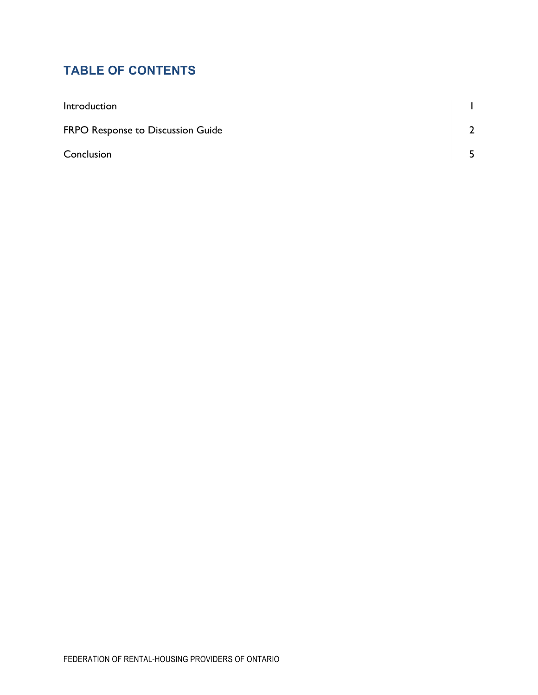# **TABLE OF CONTENTS**

| Introduction                      |  |
|-----------------------------------|--|
| FRPO Response to Discussion Guide |  |
| Conclusion                        |  |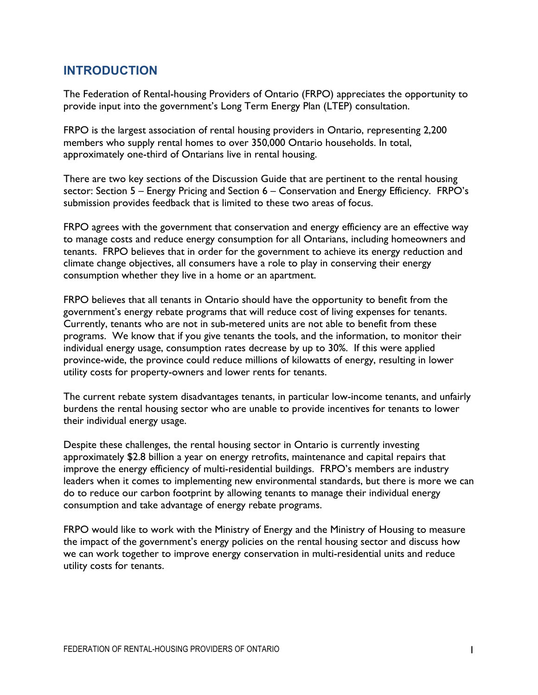# **INTRODUCTION**

The Federation of Rental-housing Providers of Ontario (FRPO) appreciates the opportunity to provide input into the government's Long Term Energy Plan (LTEP) consultation.

FRPO is the largest association of rental housing providers in Ontario, representing 2,200 members who supply rental homes to over 350,000 Ontario households. In total, approximately one-third of Ontarians live in rental housing.

There are two key sections of the Discussion Guide that are pertinent to the rental housing sector: Section 5 – Energy Pricing and Section 6 – Conservation and Energy Efficiency. FRPO's submission provides feedback that is limited to these two areas of focus.

FRPO agrees with the government that conservation and energy efficiency are an effective way to manage costs and reduce energy consumption for all Ontarians, including homeowners and tenants. FRPO believes that in order for the government to achieve its energy reduction and climate change objectives, all consumers have a role to play in conserving their energy consumption whether they live in a home or an apartment.

FRPO believes that all tenants in Ontario should have the opportunity to benefit from the government's energy rebate programs that will reduce cost of living expenses for tenants. Currently, tenants who are not in sub-metered units are not able to benefit from these programs. We know that if you give tenants the tools, and the information, to monitor their individual energy usage, consumption rates decrease by up to 30%. If this were applied province-wide, the province could reduce millions of kilowatts of energy, resulting in lower utility costs for property-owners and lower rents for tenants.

The current rebate system disadvantages tenants, in particular low-income tenants, and unfairly burdens the rental housing sector who are unable to provide incentives for tenants to lower their individual energy usage.

Despite these challenges, the rental housing sector in Ontario is currently investing approximately \$2.8 billion a year on energy retrofits, maintenance and capital repairs that improve the energy efficiency of multi-residential buildings. FRPO's members are industry leaders when it comes to implementing new environmental standards, but there is more we can do to reduce our carbon footprint by allowing tenants to manage their individual energy consumption and take advantage of energy rebate programs.

FRPO would like to work with the Ministry of Energy and the Ministry of Housing to measure the impact of the government's energy policies on the rental housing sector and discuss how we can work together to improve energy conservation in multi-residential units and reduce utility costs for tenants.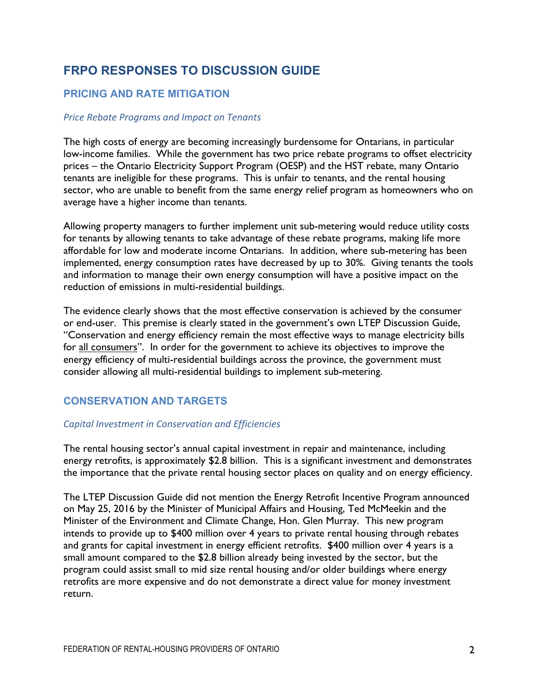# **FRPO RESPONSES TO DISCUSSION GUIDE**

## **PRICING AND RATE MITIGATION**

#### **Price Rebate Programs and Impact on Tenants**

The high costs of energy are becoming increasingly burdensome for Ontarians, in particular low-income families. While the government has two price rebate programs to offset electricity prices – the Ontario Electricity Support Program (OESP) and the HST rebate, many Ontario tenants are ineligible for these programs. This is unfair to tenants, and the rental housing sector, who are unable to benefit from the same energy relief program as homeowners who on average have a higher income than tenants.

Allowing property managers to further implement unit sub-metering would reduce utility costs for tenants by allowing tenants to take advantage of these rebate programs, making life more affordable for low and moderate income Ontarians. In addition, where sub-metering has been implemented, energy consumption rates have decreased by up to 30%. Giving tenants the tools and information to manage their own energy consumption will have a positive impact on the reduction of emissions in multi-residential buildings.

The evidence clearly shows that the most effective conservation is achieved by the consumer or end-user. This premise is clearly stated in the government's own LTEP Discussion Guide, "Conservation and energy efficiency remain the most effective ways to manage electricity bills for all consumers". In order for the government to achieve its objectives to improve the energy efficiency of multi-residential buildings across the province, the government must consider allowing all multi-residential buildings to implement sub-metering.

## **CONSERVATION AND TARGETS**

### *Capital Investment in Conservation and Efficiencies*

The rental housing sector's annual capital investment in repair and maintenance, including energy retrofits, is approximately \$2.8 billion. This is a significant investment and demonstrates the importance that the private rental housing sector places on quality and on energy efficiency.

The LTEP Discussion Guide did not mention the Energy Retrofit Incentive Program announced on May 25, 2016 by the Minister of Municipal Affairs and Housing, Ted McMeekin and the Minister of the Environment and Climate Change, Hon. Glen Murray. This new program intends to provide up to \$400 million over 4 years to private rental housing through rebates and grants for capital investment in energy efficient retrofits. \$400 million over 4 years is a small amount compared to the \$2.8 billion already being invested by the sector, but the program could assist small to mid size rental housing and/or older buildings where energy retrofits are more expensive and do not demonstrate a direct value for money investment return.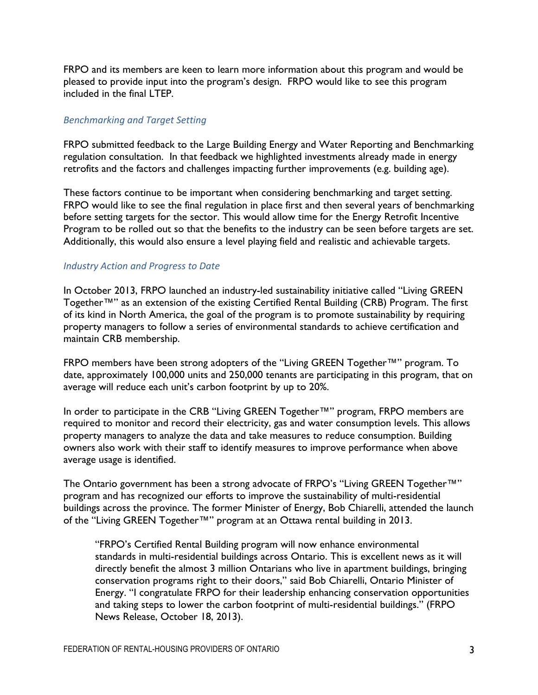FRPO and its members are keen to learn more information about this program and would be pleased to provide input into the program's design. FRPO would like to see this program included in the final LTEP.

#### *Benchmarking and Target Setting*

FRPO submitted feedback to the Large Building Energy and Water Reporting and Benchmarking regulation consultation. In that feedback we highlighted investments already made in energy retrofits and the factors and challenges impacting further improvements (e.g. building age).

These factors continue to be important when considering benchmarking and target setting. FRPO would like to see the final regulation in place first and then several years of benchmarking before setting targets for the sector. This would allow time for the Energy Retrofit Incentive Program to be rolled out so that the benefits to the industry can be seen before targets are set. Additionally, this would also ensure a level playing field and realistic and achievable targets.

#### *Industry Action and Progress to Date*

In October 2013, FRPO launched an industry-led sustainability initiative called "Living GREEN Together™" as an extension of the existing Certified Rental Building (CRB) Program. The first of its kind in North America, the goal of the program is to promote sustainability by requiring property managers to follow a series of environmental standards to achieve certification and maintain CRB membership.

FRPO members have been strong adopters of the "Living GREEN Together™" program. To date, approximately 100,000 units and 250,000 tenants are participating in this program, that on average will reduce each unit's carbon footprint by up to 20%.

In order to participate in the CRB "Living GREEN Together™" program, FRPO members are required to monitor and record their electricity, gas and water consumption levels. This allows property managers to analyze the data and take measures to reduce consumption. Building owners also work with their staff to identify measures to improve performance when above average usage is identified.

The Ontario government has been a strong advocate of FRPO's "Living GREEN Together™" program and has recognized our efforts to improve the sustainability of multi-residential buildings across the province. The former Minister of Energy, Bob Chiarelli, attended the launch of the "Living GREEN Together™" program at an Ottawa rental building in 2013.

"FRPO's Certified Rental Building program will now enhance environmental standards in multi-residential buildings across Ontario. This is excellent news as it will directly benefit the almost 3 million Ontarians who live in apartment buildings, bringing conservation programs right to their doors," said Bob Chiarelli, Ontario Minister of Energy. "I congratulate FRPO for their leadership enhancing conservation opportunities and taking steps to lower the carbon footprint of multi-residential buildings." (FRPO News Release, October 18, 2013).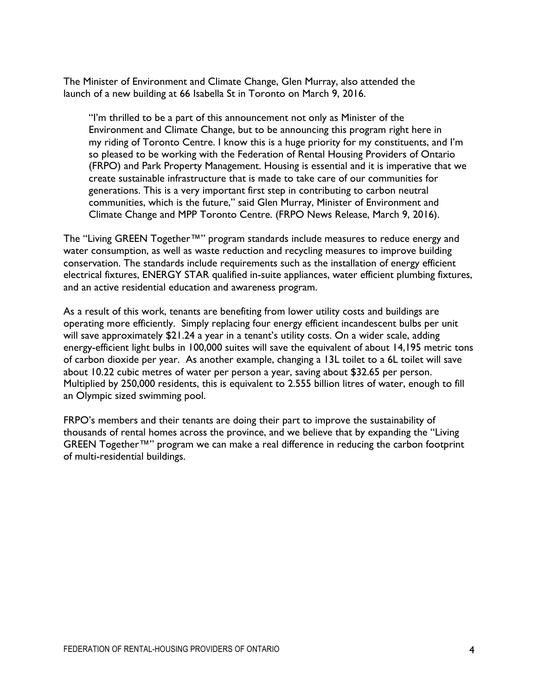The Minister of Environment and Climate Change, Glen Murray, also attended the launch of a new building at 66 Isabella St in Toronto on March 9, 2016.

"I'm thrilled to be a part of this announcement not only as Minister of the Environment and Climate Change, but to be announcing this program right here in my riding of Toronto Centre. I know this is a huge priority for my constituents, and I'm so pleased to be working with the Federation of Rental Housing Providers of Ontario (FRPO) and Park Property Management. Housing is essential and it is imperative that we create sustainable infrastructure that is made to take care of our communities for generations. This is a very important first step in contributing to carbon neutral communities, which is the future," said Glen Murray, Minister of Environment and Climate Change and MPP Toronto Centre. (FRPO News Release, March 9, 2016).

The "Living GREEN Together™" program standards include measures to reduce energy and water consumption, as well as waste reduction and recycling measures to improve building conservation. The standards include requirements such as the installation of energy efficient electrical fixtures, ENERGY STAR qualified in-suite appliances, water efficient plumbing fixtures, and an active residential education and awareness program.

As a result of this work, tenants are benefiting from lower utility costs and buildings are operating more efficiently. Simply replacing four energy efficient incandescent bulbs per unit will save approximately \$21.24 a year in a tenant's utility costs. On a wider scale, adding energy-efficient light bulbs in 100,000 suites will save the equivalent of about 14,195 metric tons of carbon dioxide per year. As another example, changing a 13L toilet to a 6L toilet will save about 10.22 cubic metres of water per person a year, saving about \$32.65 per person. Multiplied by 250,000 residents, this is equivalent to 2.555 billion litres of water, enough to fill an Olympic sized swimming pool.

FRPO's members and their tenants are doing their part to improve the sustainability of thousands of rental homes across the province, and we believe that by expanding the "Living GREEN Together™" program we can make a real difference in reducing the carbon footprint of multi-residential buildings.